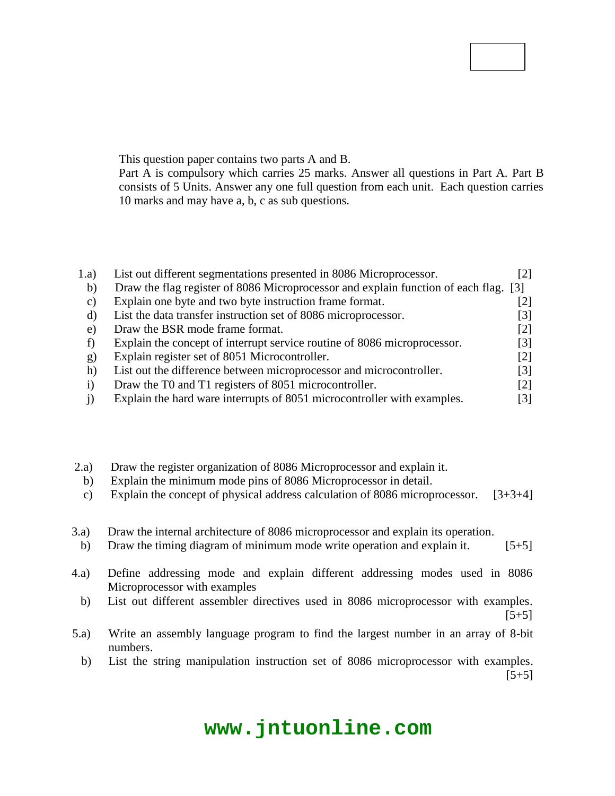# **Code No: 126EM**

# **JAWAHARLAL NEHRU TECHNOLOGICAL UNIVERSITY HYDERABAD B. Tech III Year II Semester Examinations, May - 2016 MICROPROCESSORS AND MICROCONTROLLERS (Common to ECE, BME)**

#### **Time: 3 hours** Max. Marks: 75

**R13**

**Note:** This question paper contains two parts A and B.

Part A is compulsory which carries 25 marks. Answer all questions in Part A. Part B consists of 5 Units. Answer any one full question from each unit. Each question carries 10 marks and may have a, b, c as sub questions.

# **PART - A**

# **(25 Marks)**

| 1.a) | List out different segmentations presented in 8086 Microprocessor.                   |       |
|------|--------------------------------------------------------------------------------------|-------|
| b)   | Draw the flag register of 8086 Microprocessor and explain function of each flag. [3] |       |
| C)   | Explain one byte and two byte instruction frame format.                              |       |
| d)   | List the data transfer instruction set of 8086 microprocessor.                       | 3     |
| e)   | Draw the BSR mode frame format.                                                      | $[2]$ |
|      | Explain the concept of interrupt service routine of 8086 microprocessor.             | [3]   |
| g)   | Explain register set of 8051 Microcontroller.                                        | $[2]$ |
| h)   | List out the difference between microprocessor and microcontroller.                  | 31    |
|      | Draw the T0 and T1 registers of 8051 microcontroller.                                | [2]   |
|      | Explain the hard ware interrupts of 8051 microcontroller with examples.              | [3]   |

# **PART - B**

### **(50 Marks)**

- 2.a) Draw the register organization of 8086 Microprocessor and explain it.
	- b) Explain the minimum mode pins of 8086 Microprocessor in detail.
	- c) Explain the concept of physical address calculation of 8086 microprocessor.  $[3+3+4]$

### **OR**

- 3.a) Draw the internal architecture of 8086 microprocessor and explain its operation.
	- b) Draw the timing diagram of minimum mode write operation and explain it. [5+5]
- 4.a) Define addressing mode and explain different addressing modes used in 8086 Microprocessor with examples
- **OR** b) List out different assembler directives used in 8086 microprocessor with examples.  $\overline{OR}$  [5+5]
- 5.a) Write an assembly language program to find the largest number in an array of 8-bit numbers.
	- b) List the string manipulation instruction set of 8086 microprocessor with examples.  $[5+5]$

# **www.jntuonline.com**